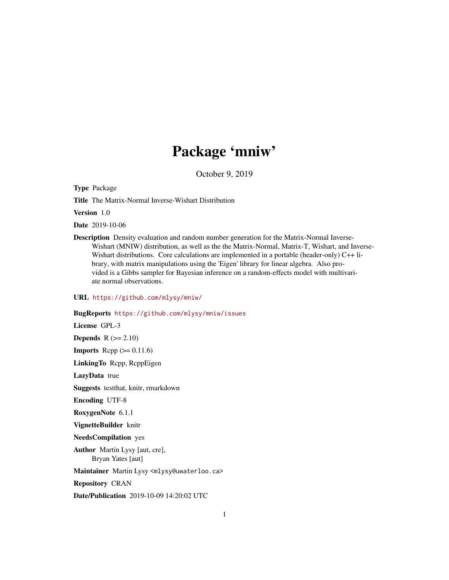# Package 'mniw'

October 9, 2019

Type Package

Title The Matrix-Normal Inverse-Wishart Distribution

Version 1.0

Date 2019-10-06

Description Density evaluation and random number generation for the Matrix-Normal Inverse-Wishart (MNIW) distribution, as well as the the Matrix-Normal, Matrix-T, Wishart, and Inverse-Wishart distributions. Core calculations are implemented in a portable (header-only) C++ library, with matrix manipulations using the 'Eigen' library for linear algebra. Also provided is a Gibbs sampler for Bayesian inference on a random-effects model with multivariate normal observations.

URL <https://github.com/mlysy/mniw/>

BugReports <https://github.com/mlysy/mniw/issues>

License GPL-3

**Depends**  $R$  ( $>= 2.10$ )

**Imports** Rcpp  $(>= 0.11.6)$ 

LinkingTo Rcpp, RcppEigen

LazyData true

Suggests testthat, knitr, rmarkdown

Encoding UTF-8

RoxygenNote 6.1.1

VignetteBuilder knitr

NeedsCompilation yes

Author Martin Lysy [aut, cre], Bryan Yates [aut]

Maintainer Martin Lysy <mlysy@uwaterloo.ca>

Repository CRAN

Date/Publication 2019-10-09 14:20:02 UTC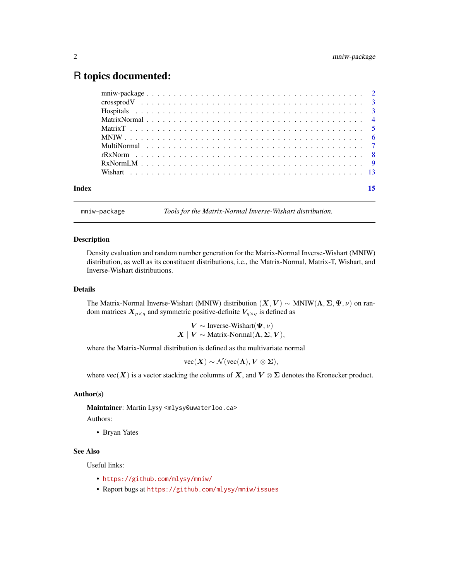# <span id="page-1-0"></span>R topics documented:

| Index |  |  |  |  |  |  |  |  |  |  |  |  |  |  |  |  |  |  |
|-------|--|--|--|--|--|--|--|--|--|--|--|--|--|--|--|--|--|--|

mniw-package *Tools for the Matrix-Normal Inverse-Wishart distribution.*

#### <span id="page-1-1"></span>Description

Density evaluation and random number generation for the Matrix-Normal Inverse-Wishart (MNIW) distribution, as well as its constituent distributions, i.e., the Matrix-Normal, Matrix-T, Wishart, and Inverse-Wishart distributions.

# Details

The Matrix-Normal Inverse-Wishart (MNIW) distribution  $(X, V) \sim \text{MNIW}(\Lambda, \Sigma, \Psi, \nu)$  on random matrices  $X_{p\times q}$  and symmetric positive-definite  $V_{q\times q}$  is defined as

$$
V \sim \text{Inverse-Wishart}(\Psi, \nu)
$$
  

$$
X \mid V \sim \text{Matrix-Normal}(\Lambda, \Sigma, V),
$$

where the Matrix-Normal distribution is defined as the multivariate normal

 $vec(X) \sim \mathcal{N}(vec(\Lambda), V \otimes \Sigma),$ 

where  $\text{vec}(X)$  is a vector stacking the columns of X, and  $V \otimes \Sigma$  denotes the Kronecker product.

#### Author(s)

Maintainer: Martin Lysy <mlysy@uwaterloo.ca>

Authors:

• Bryan Yates

# See Also

Useful links:

- <https://github.com/mlysy/mniw/>
- Report bugs at <https://github.com/mlysy/mniw/issues>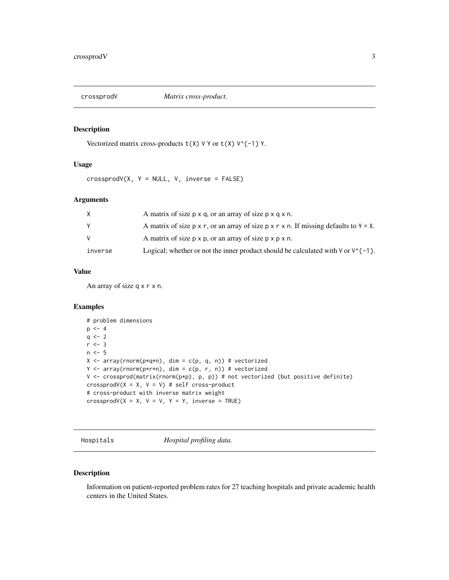<span id="page-2-0"></span>

# Description

Vectorized matrix cross-products  $t(X)$  V Y or  $t(X)$  V^{-1} Y.

# Usage

 $crossprodV(X, Y = NULL, V, inverse = FALSE)$ 

# Arguments

| X       | A matrix of size p x q, or an array of size p x q x n.                                                       |
|---------|--------------------------------------------------------------------------------------------------------------|
| Y       | A matrix of size $p \times r$ , or an array of size $p \times r \times n$ . If missing defaults to $Y = X$ . |
| v       | A matrix of size p x p, or an array of size p x p x n.                                                       |
| inverse | Logical; whether or not the inner product should be calculated with $\sqrt{r-1}$ .                           |

# Value

An array of size q x r x n.

# Examples

```
# problem dimensions
p \le -4q \le -2r \leq -3n < -5X \le -\arctan(\text{norm}(p \star q \star n), \text{dim} = c(p, q, n)) # vectorized
Y <- array(rnorm(p*r*n), dim = c(p, r, n)) # vectorized
V \leftarrow \text{crossprod}(\text{matrix}(\text{norm}(p*p), p, p)) # not vectorized (but positive definite)
crossprodV(X = X, V = V) # self cross-product
# cross-product with inverse matrix weight
crossprodV(X = X, V = V, Y = Y, inverse = TRUE)
```
Hospitals *Hospital profiling data.*

# Description

Information on patient-reported problem rates for 27 teaching hospitals and private academic health centers in the United States.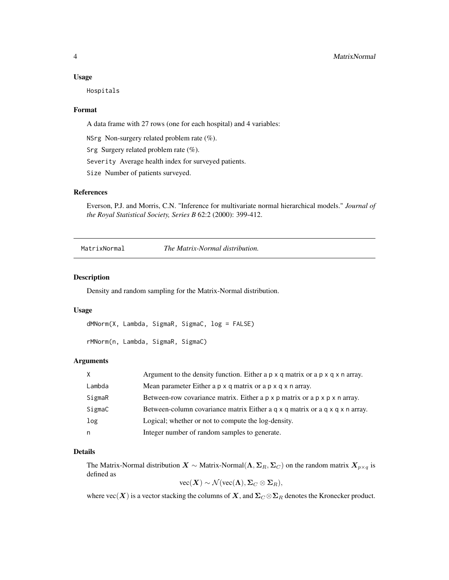#### <span id="page-3-0"></span>Usage

Hospitals

#### Format

A data frame with 27 rows (one for each hospital) and 4 variables:

NSrg Non-surgery related problem rate (%).

Srg Surgery related problem rate (%).

Severity Average health index for surveyed patients.

Size Number of patients surveyed.

# References

Everson, P.J. and Morris, C.N. "Inference for multivariate normal hierarchical models." *Journal of the Royal Statistical Society, Series B* 62:2 (2000): 399-412.

MatrixNormal *The Matrix-Normal distribution.*

# Description

Density and random sampling for the Matrix-Normal distribution.

#### Usage

```
dMNorm(X, Lambda, SigmaR, SigmaC, log = FALSE)
```

```
rMNorm(n, Lambda, SigmaR, SigmaC)
```
### Arguments

| <b>X</b> | Argument to the density function. Either a $p \times q$ matrix or a $p \times q \times n$ array. |
|----------|--------------------------------------------------------------------------------------------------|
| Lambda   | Mean parameter Either a p x q matrix or a p x q x n array.                                       |
| SigmaR   | Between-row covariance matrix. Either a $p \times p$ matrix or a $p \times p \times n$ array.    |
| SigmaC   | Between-column covariance matrix Either a $q \times q$ matrix or a $q \times q \times n$ array.  |
| log      | Logical; whether or not to compute the log-density.                                              |
| n        | Integer number of random samples to generate.                                                    |

# Details

The Matrix-Normal distribution  $X \sim$  Matrix-Normal $(\Lambda, \Sigma_R, \Sigma_C)$  on the random matrix  $X_{p \times q}$  is defined as

 $vec(\textbf{X}) \sim \mathcal{N}(vec(\textbf{\Lambda}), \Sigma_C \otimes \Sigma_R),$ 

where  $\text{vec}(\bm{X})$  is a vector stacking the columns of  $\bm{X}$ , and  $\bm{\Sigma}_C \otimes \bm{\Sigma}_R$  denotes the Kronecker product.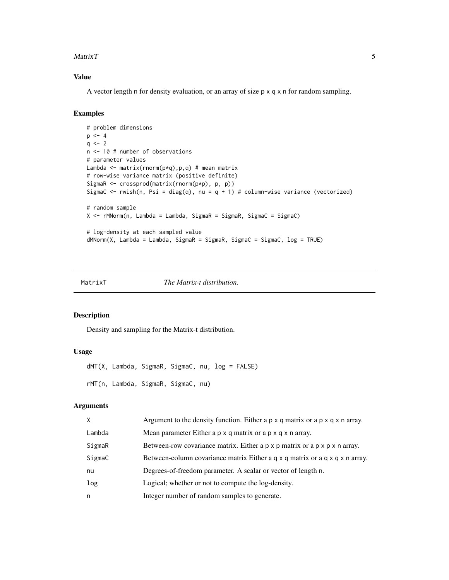#### <span id="page-4-0"></span> $MatrixT$  5

# Value

A vector length n for density evaluation, or an array of size p x q x n for random sampling.

# Examples

```
# problem dimensions
p \le -4q \le -2n <- 10 # number of observations
# parameter values
Lambda \leq matrix(rnorm(p*q), p, q) # mean matrix
# row-wise variance matrix (positive definite)
SigmaR <- crossprod(matrix(rnorm(p*p), p, p))
SigmaC <- rwish(n, Psi = diag(q), nu = q + 1) # column-wise variance (vectorized)
# random sample
X \leq rMNorm(n, Lambda = Lambda, SigmaR = SigmaR, SigmaC = SigmaC)
# log-density at each sampled value
dMNorm(X, Lambda = Lambda, SigmaR = SigmaR, SigmaC = SigmaC, log = TRUE)
```
MatrixT *The Matrix-t distribution.*

# Description

Density and sampling for the Matrix-t distribution.

### Usage

```
dMT(X, Lambda, SigmaR, SigmaC, nu, log = FALSE)
rMT(n, Lambda, SigmaR, SigmaC, nu)
```
### Arguments

| X      | Argument to the density function. Either a $p \times q$ matrix or a $p \times q \times n$ array.    |
|--------|-----------------------------------------------------------------------------------------------------|
| Lambda | Mean parameter Either a p x q matrix or a p x q x n array.                                          |
| SigmaR | Between-row covariance matrix. Either $a \rho \times p$ matrix or $a \rho \times p \times n$ array. |
| SigmaC | Between-column covariance matrix Either a q x q matrix or a q x q x n array.                        |
| nu     | Degrees-of-freedom parameter. A scalar or vector of length n.                                       |
| log    | Logical; whether or not to compute the log-density.                                                 |
| n      | Integer number of random samples to generate.                                                       |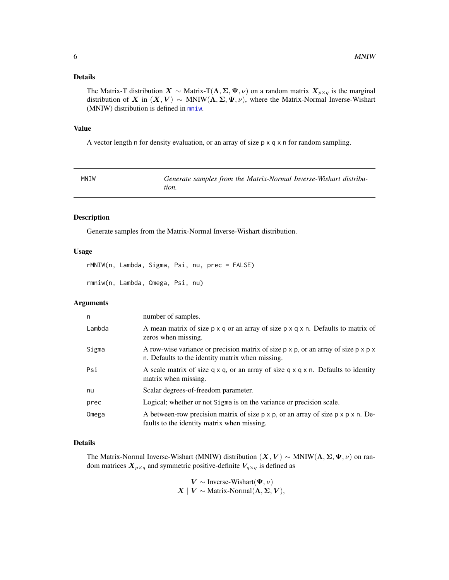# <span id="page-5-0"></span>Details

The Matrix-T distribution  $X \sim$  Matrix-T( $\Lambda, \Sigma, \Psi, \nu$ ) on a random matrix  $X_{p \times q}$  is the marginal distribution of X in  $(X, V) \sim \text{MNIW}(\Lambda, \Sigma, \Psi, \nu)$ , where the Matrix-Normal Inverse-Wishart (MNIW) distribution is defined in [mniw](#page-1-1).

### Value

A vector length n for density evaluation, or an array of size p x q x n for random sampling.

| MNIW | Generate samples from the Matrix-Normal Inverse-Wishart distribu- |
|------|-------------------------------------------------------------------|
|      | tion.                                                             |

# Description

Generate samples from the Matrix-Normal Inverse-Wishart distribution.

# Usage

rMNIW(n, Lambda, Sigma, Psi, nu, prec = FALSE) rmniw(n, Lambda, Omega, Psi, nu)

# Arguments

| n      | number of samples.                                                                                                                                           |
|--------|--------------------------------------------------------------------------------------------------------------------------------------------------------------|
| Lambda | A mean matrix of size $p \times q$ or an array of size $p \times q \times n$ . Defaults to matrix of<br>zeros when missing.                                  |
| Sigma  | A row-wise variance or precision matrix of size $p \times p$ , or an array of size $p \times p \times p$<br>n. Defaults to the identity matrix when missing. |
| Psi    | A scale matrix of size $q \times q$ , or an array of size $q \times q \times n$ . Defaults to identity<br>matrix when missing.                               |
| nu     | Scalar degrees-of-freedom parameter.                                                                                                                         |
| prec   | Logical; whether or not Sigma is on the variance or precision scale.                                                                                         |
| Omega  | A between-row precision matrix of size $p \times p$ , or an array of size $p \times p \times n$ . De-<br>faults to the identity matrix when missing.         |

### Details

The Matrix-Normal Inverse-Wishart (MNIW) distribution  $(X, V) \sim \text{MNIW}(\Lambda, \Sigma, \Psi, \nu)$  on random matrices  $X_{p\times q}$  and symmetric positive-definite  $V_{q\times q}$  is defined as

> $V \sim$  Inverse-Wishart $(\Psi, \nu)$  $X \mid V \sim$  Matrix-Normal $(\Lambda, \Sigma, V)$ ,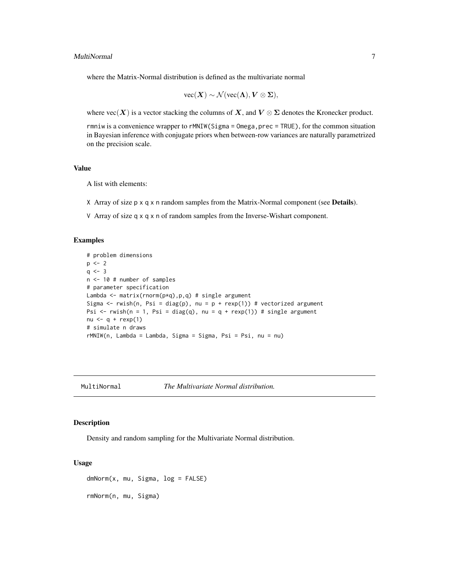#### <span id="page-6-0"></span>MultiNormal 7

where the Matrix-Normal distribution is defined as the multivariate normal

$$
\text{vec}(\boldsymbol{X}) \sim \mathcal{N}(\text{vec}(\boldsymbol{\Lambda}), \boldsymbol{V} \otimes \boldsymbol{\Sigma}),
$$

where  $\text{vec}(X)$  is a vector stacking the columns of X, and  $V \otimes \Sigma$  denotes the Kronecker product.

rmniw is a convenience wrapper to rMNIW(Sigma = Omega, prec = TRUE), for the common situation in Bayesian inference with conjugate priors when between-row variances are naturally parametrized on the precision scale.

# Value

A list with elements:

- X Array of size  $p \times q \times n$  random samples from the Matrix-Normal component (see **Details**).
- V Array of size q x q x n of random samples from the Inverse-Wishart component.

#### Examples

```
# problem dimensions
p \le -2q \le -3n <- 10 # number of samples
# parameter specification
Lambda \leq matrix(rnorm(p*q), p, q) # single argument
Sigma \leq rwish(n, Psi = diag(p), nu = p + rexp(1)) # vectorized argument
Psi \le rwish(n = 1, Psi = diag(q), nu = q + rexp(1)) # single argument
nu \leftarrow q + rexp(1)
# simulate n draws
rMNIW(n, Lambda = Lambda, Sigma = Sigma, Psi = Psi, nu = nu)
```
MultiNormal *The Multivariate Normal distribution.*

# Description

Density and random sampling for the Multivariate Normal distribution.

## Usage

dmNorm(x, mu, Sigma, log = FALSE) rmNorm(n, mu, Sigma)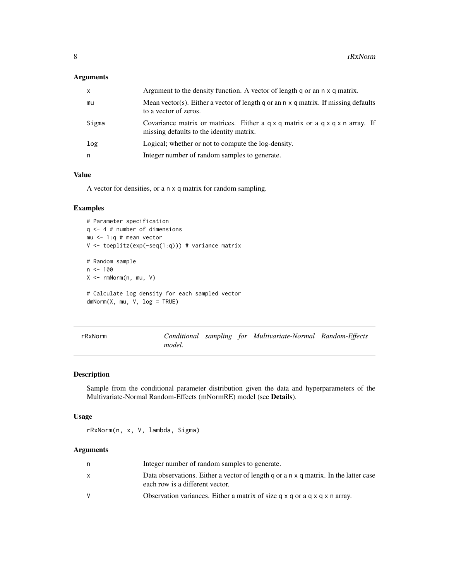# <span id="page-7-0"></span>Arguments

| x     | Argument to the density function. A vector of length q or an n x q matrix.                                                                   |
|-------|----------------------------------------------------------------------------------------------------------------------------------------------|
| mu    | Mean vector(s). Either a vector of length q or an $n \times q$ matrix. If missing defaults<br>to a vector of zeros.                          |
| Sigma | Covariance matrix or matrices. Either a $q \times q$ matrix or a $q \times q \times n$ array. If<br>missing defaults to the identity matrix. |
| log   | Logical; whether or not to compute the log-density.                                                                                          |
| n     | Integer number of random samples to generate.                                                                                                |

# Value

A vector for densities, or a n x q matrix for random sampling.

# Examples

```
# Parameter specification
q <- 4 # number of dimensions
mu <- 1:q # mean vector
V <- toeplitz(exp(-seq(1:q))) # variance matrix
# Random sample
n < - 100X <- rmNorm(n, mu, V)
```

```
# Calculate log density for each sampled vector
dmNorm(X, mu, V, log = TRUE)
```

| rRxNorm |        |  | Conditional sampling for Multivariate-Normal Random-Effects |  |
|---------|--------|--|-------------------------------------------------------------|--|
|         | model. |  |                                                             |  |

# Description

Sample from the conditional parameter distribution given the data and hyperparameters of the Multivariate-Normal Random-Effects (mNormRE) model (see Details).

### Usage

rRxNorm(n, x, V, lambda, Sigma)

# Arguments

| Integer number of random samples to generate.                                                                           |
|-------------------------------------------------------------------------------------------------------------------------|
| Data observations. Either a vector of length q or a n x q matrix. In the latter case<br>each row is a different vector. |
| Observation variances. Either a matrix of size $q \times q$ or a $q \times q \times n$ array.                           |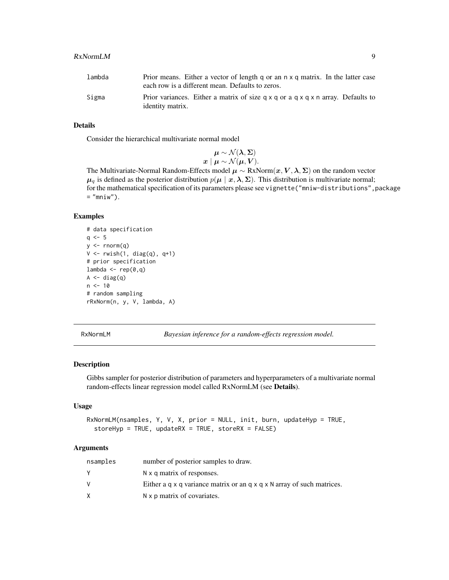#### <span id="page-8-0"></span>RxNormLM 9

# Details

Consider the hierarchical multivariate normal model

$$
\boldsymbol{\mu} \sim \mathcal{N}(\boldsymbol{\lambda},\boldsymbol{\Sigma}) \\ \boldsymbol{x} \mid \boldsymbol{\mu} \sim \mathcal{N}(\boldsymbol{\mu},\boldsymbol{V}).
$$

The Multivariate-Normal Random-Effects model  $\mu \sim Rx\text{Norm}(\bm{x},\bm{V},\bm{\lambda},\bm{\Sigma})$  on the random vector  $\mu_q$  is defined as the posterior distribution  $p(\mu | x, \lambda, \Sigma)$ . This distribution is multivariate normal; for the mathematical specification of its parameters please see vignette("mniw-distributions", package  $=$  "mniw").

### Examples

```
# data specification
q \le -5y \le - rnorm(q)
V \leftarrow \text{r wish}(1, \text{diag}(q), q+1)# prior specification
lambda < - rep(0,q)A \leftarrow diag(q)n < -10# random sampling
rRxNorm(n, y, V, lambda, A)
```
RxNormLM *Bayesian inference for a random-effects regression model.*

#### Description

Gibbs sampler for posterior distribution of parameters and hyperparameters of a multivariate normal random-effects linear regression model called RxNormLM (see Details).

### Usage

```
RxNormLM(nsamples, Y, V, X, prior = NULL, init, burn, updateHyp = TRUE,
  storeHyp = TRUE, updateRX = TRUE, storeRX = FALSE)
```
#### Arguments

| nsamples | number of posterior samples to draw.                                                      |
|----------|-------------------------------------------------------------------------------------------|
|          | $N \times q$ matrix of responses.                                                         |
|          | Either a $q \times q$ variance matrix or an $q \times q \times N$ array of such matrices. |
|          | $N \times p$ matrix of covariates.                                                        |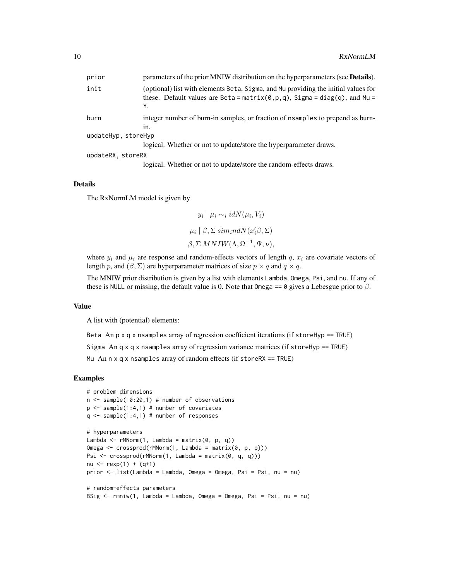| prior               | parameters of the prior MNIW distribution on the hyperparameters (see <b>Details</b> ).                                                                                    |
|---------------------|----------------------------------------------------------------------------------------------------------------------------------------------------------------------------|
| init                | (optional) list with elements Beta, Sigma, and Mu providing the initial values for<br>these. Default values are Beta = $matrix(0, p, q)$ , Sigma = diag(q), and Mu =<br>Υ. |
| burn                | integer number of burn-in samples, or fraction of nsamples to prepend as burn-<br>in.                                                                                      |
| updateHyp, storeHyp |                                                                                                                                                                            |
|                     | logical. Whether or not to update/store the hyperparameter draws.                                                                                                          |
| updateRX, storeRX   |                                                                                                                                                                            |
|                     |                                                                                                                                                                            |

logical. Whether or not to update/store the random-effects draws.

#### Details

The RxNormLM model is given by

 $y_i | \mu_i \sim_i idN(\mu_i, V_i)$  $\mu_i \mid \beta, \Sigma \, sim_i ndN(x_i' \beta, \Sigma)$  $\beta, \Sigma$  MNIW( $\Lambda, \Omega^{-1}, \Psi, \nu$ ),

where  $y_i$  and  $\mu_i$  are response and random-effects vectors of length q,  $x_i$  are covariate vectors of length p, and  $(\beta, \Sigma)$  are hyperparameter matrices of size  $p \times q$  and  $q \times q$ .

The MNIW prior distribution is given by a list with elements Lambda, Omega, Psi, and nu. If any of these is NULL or missing, the default value is 0. Note that Omega == 0 gives a Lebesgue prior to  $\beta$ .

# Value

A list with (potential) elements:

Beta An p x q x nsamples array of regression coefficient iterations (if storeHyp == TRUE)

Sigma An q x q x nsamples array of regression variance matrices (if storeHyp == TRUE)

Mu An n x q x nsamples array of random effects (if storeRX == TRUE)

#### Examples

```
# problem dimensions
n \leq - sample(10:20,1) # number of observations
p \leq - sample(1:4,1) # number of covariates
q \leq - sample(1:4,1) # number of responses
# hyperparameters
Lambda <- rMNorm(1, Lambda = matrix(0, p, q))
Omega <- crossprod(rMNorm(1, Lambda = matrix(0, p, p)))
Psi \leq crossprod(rMNorm(1, Lambda = matrix(0, q, q)))
nu <- r \exp(1) + (q+1)prior <- list(Lambda = Lambda, Omega = Omega, Psi = Psi, nu = nu)
# random-effects parameters
BSig <- rmniw(1, Lambda = Lambda, Omega = Omega, Psi = Psi, nu = nu)
```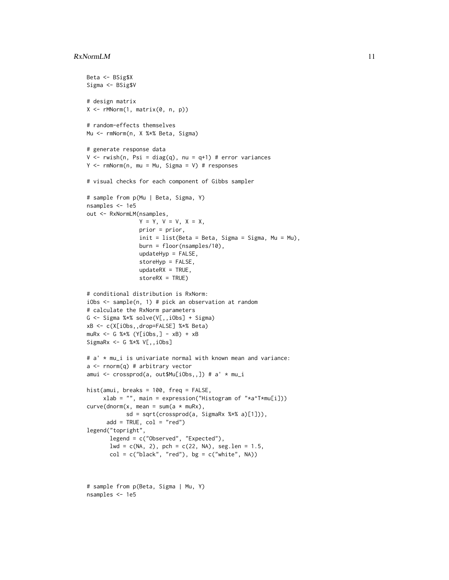#### $RxNormalM$  11

```
Beta <- BSig$X
Sigma <- BSig$V
# design matrix
X \leftarrow rMNorm(1, matrix(0, n, p))# random-effects themselves
Mu <- rmNorm(n, X %*% Beta, Sigma)
# generate response data
V \leq r wish(n, Psi = diag(q), nu = q+1) # error variances
Y \le -rmNorm(n, mu = Mu, Sigma = V) # responses
# visual checks for each component of Gibbs sampler
# sample from p(Mu | Beta, Sigma, Y)
nsamples <- 1e5
out <- RxNormLM(nsamples,
                Y = Y, V = V, X = X,
                prior = prior,
                init = list(Beta = Beta, Sigma = Sigma, Mu = Mu),burn = floor(nsamples/10),
                updateHyp = FALSE,
                storeHyp = FALSE,
                updateRX = TRUE,storeRX = TRUE)
# conditional distribution is RxNorm:
iObs <- sample(n, 1) # pick an observation at random
# calculate the RxNorm parameters
G <- Sigma %*% solve(V[,,iObs] + Sigma)
xB <- c(X[iObs,,drop=FALSE] %*% Beta)
muRx <- G %*% (Y[iObs,] - xB) + xB
SigmaRx \leq G %*% V[,,iObs]
# a' * mu_i is univariate normal with known mean and variance:
a <- rnorm(q) # arbitrary vector
amui <- crossprod(a, out$Mu[iObs,,]) # a' * mu_i
hist(amui, breaks = 100, freq = FALSE,
     xlab = "", main = expression("Histogram of "*a^T*mu[i]))
curve(dnorm(x, mean = sum(a * mURx)),sd = sqrt(crossprod(a, SigmaRx %*% a)[1])),
      add = TRUE, col = "red")legend("topright",
       legend = c("Observed", "Expected"),
       lwd = c(NA, 2), pch = c(22, NA), seg.length = 1.5,
       col = c("black", "red"), bg = c("white", NA))# sample from p(Beta, Sigma | Mu, Y)
nsamples <- 1e5
```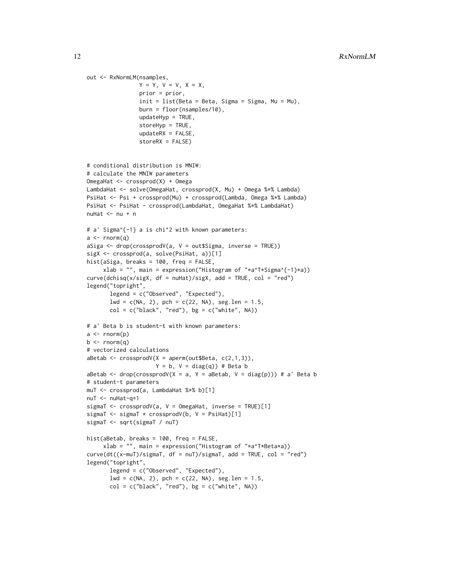```
out <- RxNormLM(nsamples,
                Y = Y, V = V, X = X,
                prior = prior,
                init = list(Beta = Beta, Sigma = Sigma, Mu = Mu),
                burn = floor(nsamples/10),
                updateHyp = TRUE,
                storeHyp = TRUE,
                updateRX = FALSE,
                storeRX = FALSE)
# conditional distribution is MNIW:
# calculate the MNIW parameters
OmegaHat <- crossprod(X) + Omega
LambdaHat <- solve(OmegaHat, crossprod(X, Mu) + Omega %*% Lambda)
PsiHat <- Psi + crossprod(Mu) + crossprod(Lambda, Omega %*% Lambda)
PsiHat <- PsiHat - crossprod(LambdaHat, OmegaHat %*% LambdaHat)
nuHat \leq -nu + n
# a' Sigma^{-1} a is chi^2 with known parameters:
a \leftarrow \text{norm}(q)aSiga <- drop(crossprodV(a, V = out$Sigma, inverse = TRUE))
sigX <- crossprod(a, solve(PsiHat, a))[1]
hist(aSiga, breaks = 100, freq = FALSE,
     xlab = "", main = expression("Histogram of "*a^T*Sigma^{-1}*a))
curve(dchisq(x/sigX, df = nullat)/sigX, add = TRUE, col = "red")legend("topright",
       legend = c("Observed", "Expected"),
       1wd = c(NA, 2), pch = c(22, NA), seg.length = 1.5,
       col = c("black", "red"), bg = c("white", NA))# a' Beta b is student-t with known parameters:
a \leftarrow \text{norm}(p)b \le- rnorm(q)# vectorized calculations
aBetab <- crossprodV(X = aperm(out $Beta, c(2,1,3)),
                     Y = b, V = diag(q)) # Beta b
aBetab <- drop(crossprodV(X = a, Y = aBetab, V = diag(p))) # a' Beta b
# student-t parameters
muT <- crossprod(a, LambdaHat %*% b)[1]
nuT <- nuHat-q+1
sigmaT <- crossprodV(a, V = OmegaHat, inverse = TRUE)[1]
sigmaT <- sigmaT * crossprodV(b, V = \text{Psiflat}[1]sigmaT <- sqrt(sigmaT / nuT)
hist(aBetab, breaks = 100, freq = FALSE,
     xlab = "", main = expression("Histogram of "*a^T*Beta*a))
curve(dt((x-muT)/sigmaT, df = nuT)/sigmaT, add = TRUE, col = "red")legend("topright",
       legend = c("Observed", "Expected"),
       lwd = c(NA, 2), pch = c(22, NA), seg.length = 1.5,
       col = c("black", "red"), bg = c("white", NA))
```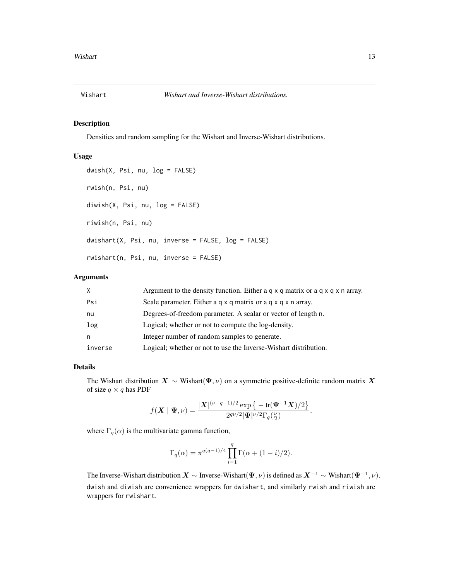<span id="page-12-0"></span>

#### Description

Densities and random sampling for the Wishart and Inverse-Wishart distributions.

#### Usage

```
dwish(X, Psi, nu, log = FALSE)
rwish(n, Psi, nu)
diwish(X, Psi, nu, log = FALSE)
riwish(n, Psi, nu)
dwishart(X, Psi, nu, inverse = FALSE, log = FALSE)
rwishart(n, Psi, nu, inverse = FALSE)
```
# Arguments

| X.      | Argument to the density function. Either a $q \times q$ matrix or a $q \times q \times n$ array. |
|---------|--------------------------------------------------------------------------------------------------|
| Psi     | Scale parameter. Either a q x q matrix or a q x q x n array.                                     |
| nu      | Degrees-of-freedom parameter. A scalar or vector of length n.                                    |
| log     | Logical; whether or not to compute the log-density.                                              |
| n       | Integer number of random samples to generate.                                                    |
| inverse | Logical; whether or not to use the Inverse-Wishart distribution.                                 |

#### Details

The Wishart distribution  $X \sim$  Wishart( $\Psi, \nu$ ) on a symmetric positive-definite random matrix X of size  $q \times q$  has PDF

$$
f(\boldsymbol{X}\mid\boldsymbol{\Psi},\nu)=\frac{|\boldsymbol{X}|^{(\nu-q-1)/2}\exp\left\{-\operatorname{tr}(\boldsymbol{\Psi}^{-1}\boldsymbol{X})/2\right\}}{2^{q\nu/2}|\boldsymbol{\Psi}|^{\nu/2}\Gamma_q(\frac{\nu}{2})},
$$

where  $\Gamma_q(\alpha)$  is the multivariate gamma function,

$$
\Gamma_q(\alpha) = \pi^{q(q-1)/4} \prod_{i=1}^q \Gamma(\alpha + (1-i)/2).
$$

The Inverse-Wishart distribution  $X \sim$  Inverse-Wishart $(\Psi, \nu)$  is defined as  $X^{-1} \sim$  Wishart $(\Psi^{-1}, \nu)$ . dwish and diwish are convenience wrappers for dwishart, and similarly rwish and riwish are wrappers for rwishart.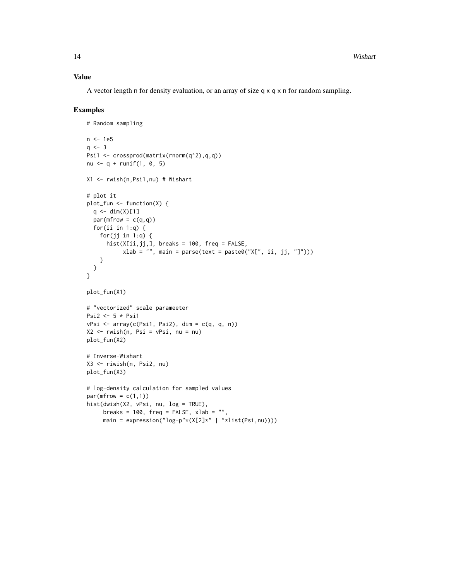# Value

A vector length n for density evaluation, or an array of size  $q \times q \times r$  for random sampling.

#### Examples

```
# Random sampling
n <- 1e5
q \le -3Psi1 <- crossprod(matrix(rnorm(q^2),q,q))
nu <- q + runif(1, 0, 5)X1 <- rwish(n,Psi1,nu) # Wishart
# plot it
plot_fun <- function(X) {
  q \leftarrow \text{dim}(X)[1]par(mfrow = c(q,q))for(ii in 1:q) \{for(jj in 1:q) {
      hist(X[ii,jj,], breaks = 100, freq = FALSE,
           xlab = "", main = parse(text = paste0("X[", ii, jj, "]")))
    }
  }
}
plot_fun(X1)
# "vectorized" scale parameeter
Psi2 <- 5 * Psi1
vPsi \le i \le \arctan(c(Psi1, Psi2), \dim = c(q, q, n))X2 \leq -rwish(n, Psi = vPsi, nu = nu)plot_fun(X2)
# Inverse-Wishart
X3 <- riwish(n, Psi2, nu)
plot_fun(X3)
# log-density calculation for sampled values
par(mfrow = c(1,1))hist(dwish(X2, vPsi, nu, log = TRUE),
     breaks = 100, freq = FALSE, xlab = "".main = expression("\log-p''*(X[2]*" | "*list(Psi, nu)))
```